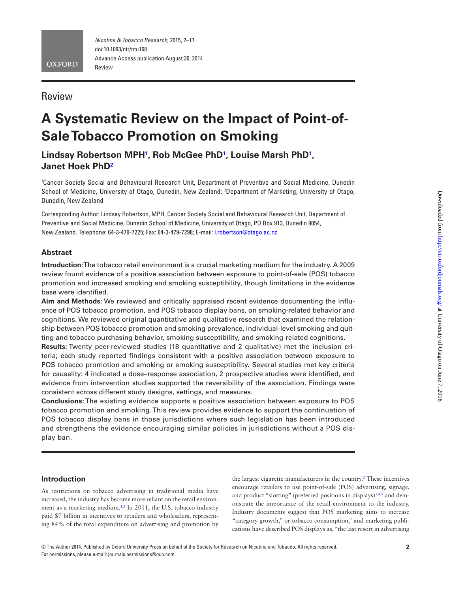

*Nicotine & Tobacco Research*, 2015, 2–17 doi:10.1093/ntr/ntu168 Advance Access publication August 30, 2014 Review

Review

# **A Systematic Review on the Impact of Point-of-Sale Tobacco Promotion on Smoking**

**Lindsay Robertson MPH[1](#page-0-0) , Rob McGee Ph[D1](#page-0-0) , Louise Marsh Ph[D1](#page-0-0) , Janet Hoek PhD[2](#page-0-1)**

<span id="page-0-1"></span><span id="page-0-0"></span>1 Cancer Society Social and Behavioural Research Unit, Department of Preventive and Social Medicine, Dunedin School of Medicine, University of Otago, Dunedin, New Zealand; 2 Department of Marketing, University of Otago, Dunedin, New Zealand

Corresponding Author: Lindsay Robertson, MPH, Cancer Society Social and Behavioural Research Unit, Department of Preventive and Social Medicine, Dunedin School of Medicine, University of Otago, PO Box 913, Dunedin 9054, New Zealand. Telephone: 64-3-479-7225; Fax: 64-3-479-7298; E-mail: [l.robertson@otago.ac.nz](mailto:l.robertson@otago.ac.nz?subject=)

# **Abstract**

**Introduction:** The tobacco retail environment is a crucial marketing medium for the industry. A 2009 review found evidence of a positive association between exposure to point-of-sale (POS) tobacco promotion and increased smoking and smoking susceptibility, though limitations in the evidence base were identified.

**Aim and Methods:** We reviewed and critically appraised recent evidence documenting the influence of POS tobacco promotion, and POS tobacco display bans, on smoking-related behavior and cognitions. We reviewed original quantitative and qualitative research that examined the relationship between POS tobacco promotion and smoking prevalence, individual-level smoking and quitting and tobacco purchasing behavior, smoking susceptibility, and smoking-related cognitions.

**Results:** Twenty peer-reviewed studies (18 quantitative and 2 qualitative) met the inclusion criteria; each study reported findings consistent with a positive association between exposure to POS tobacco promotion and smoking or smoking susceptibility. Several studies met key criteria for causality: 4 indicated a dose–response association, 2 prospective studies were identified, and evidence from intervention studies supported the reversibility of the association. Findings were consistent across different study designs, settings, and measures.

**Conclusions:** The existing evidence supports a positive association between exposure to POS tobacco promotion and smoking. This review provides evidence to support the continuation of POS tobacco display bans in those jurisdictions where such legislation has been introduced and strengthens the evidence encouraging similar policies in jurisdictions without a POS display ban.

# **Introduction**

As restrictions on tobacco advertising in traditional media have increased, the industry has become more reliant on the retail environ-ment as a marketing medium.<sup>[1,](#page-14-0)[2](#page-14-1)</sup> In 2011, the U.S. tobacco industry paid \$7 billion in incentives to retailers and wholesalers, representing 84% of the total expenditure on advertising and promotion by

the largest cigarette manufacturers in the country.<sup>[3](#page-14-2)</sup> These incentives encourage retailers to use point-of-sale (POS) advertising, signage, and product "slotting" (preferred positions in displays)<sup>[1](#page-14-0),[4](#page-14-3)[,5](#page-14-4)</sup> and demonstrate the importance of the retail environment to the industry. Industry documents suggest that POS marketing aims to increase "category growth," or tobacco consumption,<sup>2</sup> and marketing publications have described POS displays as, "the last resort in advertising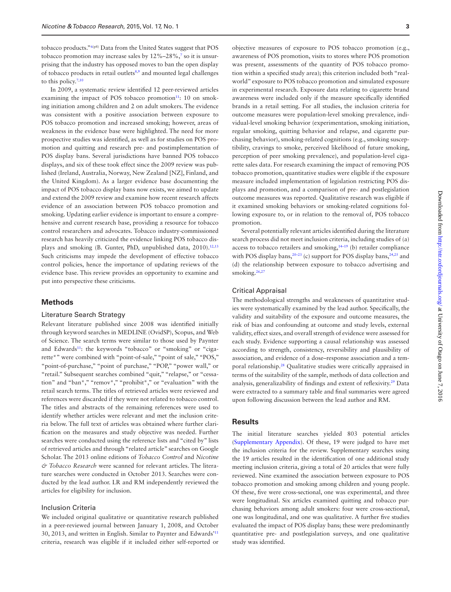tobacco products."[6](#page-14-5)(p8) Data from the United States suggest that POS tobacco promotion may increase sales by 12%–28%,<sup>[7](#page-14-6)</sup> so it is unsurprising that the industry has opposed moves to ban the open display of tobacco products in retail outlets<sup>8,[9](#page-14-8)</sup> and mounted legal challenges to this policy[.7,](#page-14-6)[10](#page-14-9)

In 2009, a systematic review identified 12 peer-reviewed articles examining the impact of POS tobacco promotion<sup>11</sup>: 10 on smoking initiation among children and 2 on adult smokers. The evidence was consistent with a positive association between exposure to POS tobacco promotion and increased smoking; however, areas of weakness in the evidence base were highlighted. The need for more prospective studies was identified, as well as for studies on POS promotion and quitting and research pre- and postimplementation of POS display bans. Several jurisdictions have banned POS tobacco displays, and six of these took effect since the 2009 review was published (Ireland, Australia, Norway, New Zealand [NZ], Finland, and the United Kingdom). As a larger evidence base documenting the impact of POS tobacco display bans now exists, we aimed to update and extend the 2009 review and examine how recent research affects evidence of an association between POS tobacco promotion and smoking. Updating earlier evidence is important to ensure a comprehensive and current research base, providing a resource for tobacco control researchers and advocates. Tobacco industry-commissioned research has heavily criticized the evidence linking POS tobacco dis-plays and smoking (B. Gunter, PhD, unpublished data, 2010).<sup>[12](#page-14-11)[,13](#page-14-12)</sup> Such criticisms may impede the development of effective tobacco control policies, hence the importance of updating reviews of the evidence base. This review provides an opportunity to examine and put into perspective these criticisms.

## **Methods**

## Literature Search Strategy

Relevant literature published since 2008 was identified initially through keyword searches in MEDLINE (OvidSP), Scopus, and Web of Science. The search terms were similar to those used by Paynter and Edwards<sup>11</sup>: the keywords "tobacco" or "smoking" or "cigarette\*" were combined with "point-of-sale," "point of sale," "POS," "point-of-purchase," "point of purchase," "POP," "power wall," or "retail." Subsequent searches combined "quit," "relapse," or "cessation" and "ban\*," "remov\*," "prohibit\*," or "evaluation" with the retail search terms. The titles of retrieved articles were reviewed and references were discarded if they were not related to tobacco control. The titles and abstracts of the remaining references were used to identify whether articles were relevant and met the inclusion criteria below. The full text of articles was obtained where further clarification on the measures and study objective was needed. Further searches were conducted using the reference lists and "cited by" lists of retrieved articles and through "related article" searches on Google Scholar. The 2013 online editions of *Tobacco Control* and *Nicotine & Tobacco Research* were scanned for relevant articles. The literature searches were conducted in October 2013. Searches were conducted by the lead author. LR and RM independently reviewed the articles for eligibility for inclusion.

## Inclusion Criteria

We included original qualitative or quantitative research published in a peer-reviewed journal between January 1, 2008, and October 30, 2013, and written in English. Similar to Paynter and Edwards['11](#page-14-10) criteria, research was eligible if it included either self-reported or

objective measures of exposure to POS tobacco promotion (e.g., awareness of POS promotion, visits to stores where POS promotion was present, assessments of the quantity of POS tobacco promotion within a specified study area); this criterion included both "realworld" exposure to POS tobacco promotion and simulated exposure in experimental research. Exposure data relating to cigarette brand awareness were included only if the measure specifically identified brands in a retail setting. For all studies, the inclusion criteria for outcome measures were population-level smoking prevalence, individual-level smoking behavior (experimentation, smoking initiation, regular smoking, quitting behavior and relapse, and cigarette purchasing behavior), smoking-related cognitions (e.g., smoking susceptibility, cravings to smoke, perceived likelihood of future smoking, perception of peer smoking prevalence), and population-level cigarette sales data. For research examining the impact of removing POS tobacco promotion, quantitative studies were eligible if the exposure measure included implementation of legislation restricting POS displays and promotion, and a comparison of pre- and postlegislation outcome measures was reported. Qualitative research was eligible if it examined smoking behaviors or smoking-related cognitions following exposure to, or in relation to the removal of, POS tobacco promotion.

Several potentially relevant articles identified during the literature search process did not meet inclusion criteria, including studies of (a) access to tobacco retailers and smoking,<sup>14-19</sup> (b) retailer compliance with POS display bans, $20-23$  (c) support for POS display bans, $24,25$  and (d) the relationship between exposure to tobacco advertising and smoking. $26,27$  $26,27$ 

## Critical Appraisal

The methodological strengths and weaknesses of quantitative studies were systematically examined by the lead author. Specifically, the validity and suitability of the exposure and outcome measures, the risk of bias and confounding at outcome and study levels, external validity, effect sizes, and overall strength of evidence were assessed for each study. Evidence supporting a causal relationship was assessed according to strength, consistency, reversibility and plausibility of association, and evidence of a dose–response association and a temporal relationship.[28](#page-15-4) Qualitative studies were critically appraised in terms of the suitability of the sample, methods of data collection and analysis, generalizability of findings and extent of reflexivity[.29](#page-15-5) Data were extracted to a summary table and final summaries were agreed upon following discussion between the lead author and RM.

# **Results**

The initial literature searches yielded 803 potential articles [\(Supplementary Appendix\)](http://ntr.oxfordjournals.org/lookup/suppl/doi:10.1093/ntr/ntu168/-/DC1). Of these, 19 were judged to have met the inclusion criteria for the review. Supplementary searches using the 19 articles resulted in the identification of one additional study meeting inclusion criteria, giving a total of 20 articles that were fully reviewed. Nine examined the association between exposure to POS tobacco promotion and smoking among children and young people. Of these, five were cross-sectional, one was experimental, and three were longitudinal. Six articles examined quitting and tobacco purchasing behaviors among adult smokers: four were cross-sectional, one was longitudinal, and one was qualitative. A further five studies evaluated the impact of POS display bans; these were predominantly quantitative pre- and postlegislation surveys, and one qualitative study was identified.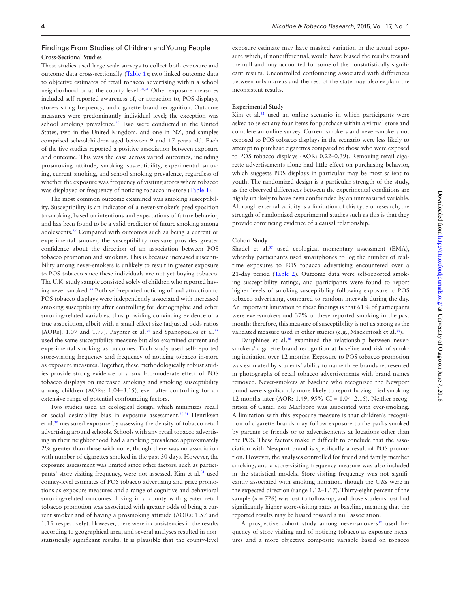## Findings From Studies of Children and Young People **Cross-Sectional Studies**

These studies used large-scale surveys to collect both exposure and outcome data cross-sectionally ([Table 1](#page-3-0)); two linked outcome data to objective estimates of retail tobacco advertising within a school neighborhood or at the county level.[30](#page-15-6)[,31](#page-15-7) Other exposure measures included self-reported awareness of, or attraction to, POS displays, store-visiting frequency, and cigarette brand recognition. Outcome measures were predominantly individual level; the exception was school smoking prevalence.<sup>30</sup> Two were conducted in the United States, two in the United Kingdom, and one in NZ, and samples comprised schoolchildren aged between 9 and 17 years old. Each of the five studies reported a positive association between exposure and outcome. This was the case across varied outcomes, including prosmoking attitude, smoking susceptibility, experimental smoking, current smoking, and school smoking prevalence, regardless of whether the exposure was frequency of visiting stores where tobacco was displayed or frequency of noticing tobacco in-store ([Table 1](#page-3-0)).

The most common outcome examined was smoking susceptibility. Susceptibility is an indicator of a never-smoker's predisposition to smoking, based on intentions and expectations of future behavior, and has been found to be a valid predictor of future smoking among adolescents.[36](#page-15-8) Compared with outcomes such as being a current or experimental smoker, the susceptibility measure provides greater confidence about the direction of an association between POS tobacco promotion and smoking. This is because increased susceptibility among never-smokers is unlikely to result in greater exposure to POS tobacco since these individuals are not yet buying tobacco. The U.K. study sample consisted solely of children who reported having never smoked.[33](#page-15-9) Both self-reported noticing of and attraction to POS tobacco displays were independently associated with increased smoking susceptibility after controlling for demographic and other smoking-related variables, thus providing convincing evidence of a true association, albeit with a small effect size (adjusted odds ratios [AORs]: 1.07 and 1.77). Paynter et al. $34$  and Spanopoulos et al. $35$ used the same susceptibility measure but also examined current and experimental smoking as outcomes. Each study used self-reported store-visiting frequency and frequency of noticing tobacco in-store as exposure measures. Together, these methodologically robust studies provide strong evidence of a small-to-moderate effect of POS tobacco displays on increased smoking and smoking susceptibility among children (AORs: 1.04–3.15), even after controlling for an extensive range of potential confounding factors.

Two studies used an ecological design, which minimizes recall or social desirability bias in exposure assessment.<sup>30,31</sup> Henriksen et al.[30](#page-15-6) measured exposure by assessing the density of tobacco retail advertising around schools. Schools with any retail tobacco advertising in their neighborhood had a smoking prevalence approximately 2% greater than those with none, though there was no association with number of cigarettes smoked in the past 30 days. However, the exposure assessment was limited since other factors, such as participants' store-visiting frequency, were not assessed. Kim et al.<sup>31</sup> used county-level estimates of POS tobacco advertising and price promotions as exposure measures and a range of cognitive and behavioral smoking-related outcomes. Living in a county with greater retail tobacco promotion was associated with greater odds of being a current smoker and of having a prosmoking attitude (AORs: 1.57 and 1.15, respectively). However, there were inconsistencies in the results according to geographical area, and several analyses resulted in nonstatistically significant results. It is plausible that the county-level

exposure estimate may have masked variation in the actual exposure which, if nondifferential, would have biased the results toward the null and may accounted for some of the nonstatistically significant results. Uncontrolled confounding associated with differences between urban areas and the rest of the state may also explain the inconsistent results.

## **Experimental Study**

Kim et al.<sup>32</sup> used an online scenario in which participants were asked to select any four items for purchase within a virtual store and complete an online survey. Current smokers and never-smokers not exposed to POS tobacco displays in the scenario were less likely to attempt to purchase cigarettes compared to those who were exposed to POS tobacco displays (AOR: 0.22–0.39). Removing retail cigarette advertisements alone had little effect on purchasing behavior, which suggests POS displays in particular may be most salient to youth. The randomized design is a particular strength of the study, as the observed differences between the experimental conditions are highly unlikely to have been confounded by an unmeasured variable. Although external validity is a limitation of this type of research, the strength of randomized experimental studies such as this is that they provide convincing evidence of a causal relationship.

### **Cohort Study**

Shadel et al.<sup>37</sup> used ecological momentary assessment (EMA), whereby participants used smartphones to log the number of realtime exposures to POS tobacco advertising encountered over a 21-day period ([Table 2\)](#page-6-0). Outcome data were self-reported smoking susceptibility ratings, and participants were found to report higher levels of smoking susceptibility following exposure to POS tobacco advertising, compared to random intervals during the day. An important limitation to these findings is that 61% of participants were ever-smokers and 37% of these reported smoking in the past month; therefore, this measure of susceptibility is not as strong as the validated measure used in other studies (e.g., Mackintosh et al.<sup>33</sup>).

Dauphinee et al.<sup>38</sup> examined the relationship between neversmokers' cigarette brand recognition at baseline and risk of smoking initiation over 12 months. Exposure to POS tobacco promotion was estimated by students' ability to name three brands represented in photographs of retail tobacco advertisements with brand names removed. Never-smokers at baseline who recognized the Newport brand were significantly more likely to report having tried smoking 12 months later (AOR: 1.49, 95% CI = 1.04–2.15). Neither recognition of Camel nor Marlboro was associated with ever-smoking. A limitation with this exposure measure is that children's recognition of cigarette brands may follow exposure to the packs smoked by parents or friends or to advertisements at locations other than the POS. These factors make it difficult to conclude that the association with Newport brand is specifically a result of POS promotion. However, the analyses controlled for friend and family member smoking, and a store-visiting frequency measure was also included in the statistical models. Store-visiting frequency was not significantly associated with smoking initiation, though the *OR*s were in the expected direction (range 1.12–1.17). Thirty-eight percent of the sample (*n* = 726) was lost to follow-up, and those students lost had significantly higher store-visiting rates at baseline, meaning that the reported results may be biased toward a null association.

A prospective cohort study among never-smokers<sup>39</sup> used frequency of store-visiting and of noticing tobacco as exposure measures and a more objective composite variable based on tobacco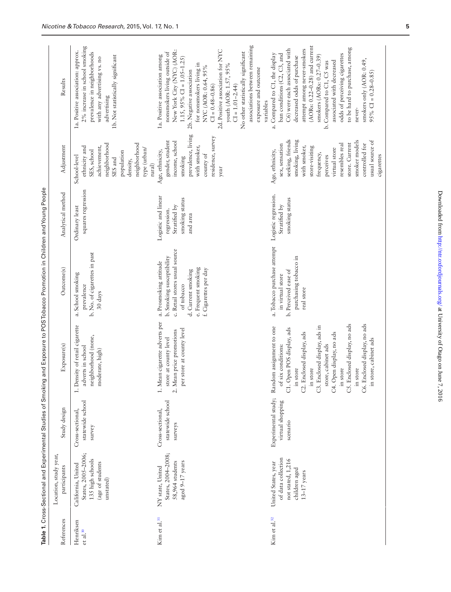<span id="page-3-0"></span>

| Results                               | 2% increase in school smoking<br>1a. Positive association: approx.<br>prevalence in neighborhoods<br>1b. Not statistically significant<br>with any advertising vs. no<br>advertising | associations between remaining<br>2d. Positive association for NYC<br>New York City (NYC) (AOR:<br>No other statistically significant<br>nonsmokers living outside of<br>1a. Positive association among<br>1.15, 95% CI = $1.05 - 1.25$ )<br>for nonsmokers living in<br>youth (AOR: 1.57, 95%<br>NYC (AOR: 0.64, 95%<br>exposure and outcome<br>2b. Negative association<br>$CI = 0.48 - 0.86$<br>$CI = 1.01 - 2.44$<br>variables | (AORs: $0.22-0.28$ ) and current<br>to be hard to purchase, among<br>C6) were each associated with<br>attempt among never-smokers<br>Compared to C1, the display<br>odds of perceiving cigarettes<br>ban conditions (C2, C3, and<br>smokers (AORs: 0.27-0.39)<br>decreased odds of purchase<br>smokers only (AOR: 0.49,<br>associated with decreased<br>b. Compared to C1, C5 was<br>$95\%$ CI = 0.28-0.85)<br>never-<br>તં |
|---------------------------------------|--------------------------------------------------------------------------------------------------------------------------------------------------------------------------------------|------------------------------------------------------------------------------------------------------------------------------------------------------------------------------------------------------------------------------------------------------------------------------------------------------------------------------------------------------------------------------------------------------------------------------------|-----------------------------------------------------------------------------------------------------------------------------------------------------------------------------------------------------------------------------------------------------------------------------------------------------------------------------------------------------------------------------------------------------------------------------|
| Adjustment                            | neighborhood<br>neighborhood<br>achievement,<br>ethnicity and<br>type (urban/<br>SES, school<br>population<br>School-level<br>SES and<br>density,<br>$_{\rm rural})$                 | prevalence, living<br>residence, survey<br>gender, student<br>income, school<br>with smoker,<br>Age, ethnicity,<br>county of<br>smoking<br>year                                                                                                                                                                                                                                                                                    | seeking, friends<br>usual source of<br>smoking, living<br>smoker models<br>store. Current<br>resembles real<br>controlled for<br>sex, sensation<br>with smoker,<br>store-visiting<br>virtual store<br>Age, ethnicity,<br>frequency,<br>perceives<br>cigarettes                                                                                                                                                              |
| Analytical method                     | squares regression<br>Ordinary least                                                                                                                                                 | Logistic and linear<br>smoking status<br>Stratified by<br>regression.<br>and area                                                                                                                                                                                                                                                                                                                                                  | Logistic regression.<br>smoking status<br>Stratified by                                                                                                                                                                                                                                                                                                                                                                     |
| Outcome(s)                            | b. No. of cigarettes in past<br>School smoking<br>prevalence<br>30 days<br>$\ddot{a}$                                                                                                | c. Retail stores usual source<br>b. Smoking susceptibility<br>a. Prosmoking attitude<br>e. Frequent smoking<br>f. Cigarettes per day<br>d. Current smoking<br>of tobacco                                                                                                                                                                                                                                                           | a. Tobacco purchase attempt<br>purchasing tobacco in<br>b. Perceived ease of<br>in virtual store<br>real store                                                                                                                                                                                                                                                                                                              |
| Exposure(s)                           | 1. Density of retail cigarette<br>neighborhood (none,<br>adverts in school<br>moderate, high)                                                                                        | 1. Mean cigarette adverts per<br>per store at county level<br>2. Mean price promotions<br>store at county level                                                                                                                                                                                                                                                                                                                    | C5. Enclosed display, no ads<br>C6. Enclosed display, no ads<br>C3. Enclosed display, ads in<br>Random assignment to one<br>C1. Open POS display, ads<br>C2. Enclosed display, ads<br>C4. Open display, no ads<br>store, cabinet ads<br>store, cabinet ads<br>of six conditions:<br>in store<br>in store<br>in store<br>in store<br>$\Xi$                                                                                   |
| Study design                          | statewide school<br>Cross-sectional,<br>survey                                                                                                                                       | statewide school<br>Cross-sectional,<br>surveys                                                                                                                                                                                                                                                                                                                                                                                    | Experimental study;<br>virtual shopping<br>scenario                                                                                                                                                                                                                                                                                                                                                                         |
| Location, study year,<br>participants | States, 2005-2006;<br>135 high schools<br>(age of students<br>California, United<br>$\,$ unstated) $\,$                                                                              | States, 2004-2008;<br>58,964 students<br>aged 9-17 years<br>NY state, United                                                                                                                                                                                                                                                                                                                                                       | of data collection<br>not stated, 1,216<br>United States, year<br>children aged<br>$13-17$ years                                                                                                                                                                                                                                                                                                                            |
| References                            | Henriksen<br>$et$ al. $^{30}$                                                                                                                                                        | Kim et al. <sup>31</sup>                                                                                                                                                                                                                                                                                                                                                                                                           | Kim et al. <sup>32</sup>                                                                                                                                                                                                                                                                                                                                                                                                    |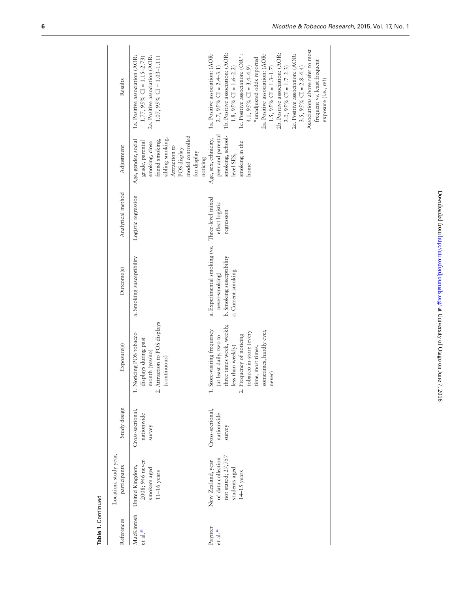| Table 1. Continued                 |                                                                                                 |                                          |                                                                                                                                                                                                                           |                                                                                                                     |                               |                                                                                                                                                                                |                                                                                                                                                                                                                                                                                                                                                                                                                                                                                                 |
|------------------------------------|-------------------------------------------------------------------------------------------------|------------------------------------------|---------------------------------------------------------------------------------------------------------------------------------------------------------------------------------------------------------------------------|---------------------------------------------------------------------------------------------------------------------|-------------------------------|--------------------------------------------------------------------------------------------------------------------------------------------------------------------------------|-------------------------------------------------------------------------------------------------------------------------------------------------------------------------------------------------------------------------------------------------------------------------------------------------------------------------------------------------------------------------------------------------------------------------------------------------------------------------------------------------|
| References                         | Location, study year,<br>participants                                                           | Study design                             | Exposure(s)                                                                                                                                                                                                               | Outcome(s)                                                                                                          | Analytical method             | Adjustment                                                                                                                                                                     | Results                                                                                                                                                                                                                                                                                                                                                                                                                                                                                         |
| MacKintosh<br>et al. <sup>33</sup> | 2008; 946 never-<br>United Kingdom,<br>smokers aged<br>$11-16$ years                            | Cross-sectional,<br>nationwide<br>survey | 2. Attraction to POS displays<br>Noticing POS tobacco<br>displays during past<br>month (yes/no)<br>(continuous)                                                                                                           | a. Smoking susceptibility                                                                                           | Logistic regression           | model controlled<br>Age, gender, social<br>sibling smoking.<br>friend smoking,<br>grade, parental<br>smoking, close<br>Attraction to<br>POS display<br>for display<br>noticing | 1a. Positive association (AOR:<br>2a. Positive association (AOR:<br>$1.07,95\%$ CI = 1.03-1.11)<br>$1.77,95\%$ CI = 1.15-2.73)                                                                                                                                                                                                                                                                                                                                                                  |
| aynter<br>et al. <sup>34</sup>     | not stated; 27,757<br>of data collection<br>New Zealand, year<br>students aged<br>$14-15$ years | Cross-sectional,<br>nationwide<br>survey | three times week, weekly,<br>1. Store-visiting frequency<br>sometimes, hardly ever,<br>tobacco in-store (every<br>2. Frequency of noticing<br>(at least daily, two to<br>time, most times,<br>less than weekly)<br>never) | a. Experimental smoking (vs. Three-level mixed<br>b. Smoking susceptibility<br>c. Current smoking<br>never-smoking) | effect logistic<br>regression | peer and parental<br>smoking, school-<br>Age, sex, ethnicity,<br>smoking in the<br>level SES.<br>home                                                                          | Associations above refer to most<br>1b. Positive association: (AOR:<br>2b. Positive association: (AOR:<br>1a. Positive association: (AOR:<br>2a. Positive association: (AOR:<br>2c. Positive association: (AOR:<br>1c. Positive association: (OR*:<br>*unadjusted odds reported<br>frequent vs. least frequent<br>4.1, 95% CI = $3.4-4.9$<br>3.5, 95% CI = $2.8-4.4$ )<br>$1.8,95\%$ CI = $1.6-2.2$ )<br>$2.0,95\%$ CI = 1.7-2.3)<br>$2.7,95\%$ CI = $2.4-3.1$ )<br>$1.5,95\%$ CI = $1.3-1.7$ ) |
|                                    |                                                                                                 |                                          |                                                                                                                                                                                                                           |                                                                                                                     |                               |                                                                                                                                                                                | exposure (i.e., ret)                                                                                                                                                                                                                                                                                                                                                                                                                                                                            |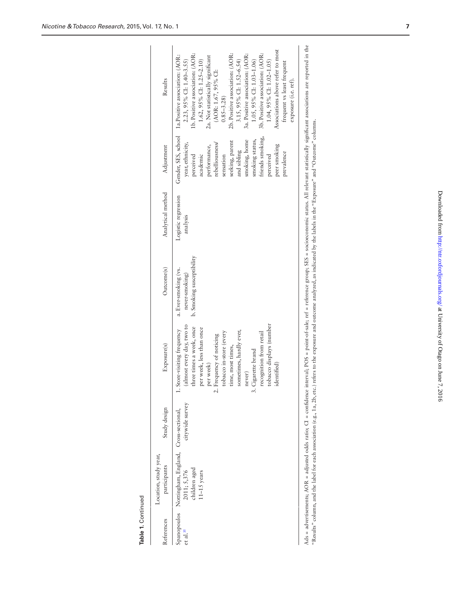| ۰<br>¢  |  |
|---------|--|
|         |  |
| ₽<br>،  |  |
|         |  |
| d       |  |
| õ<br>÷. |  |
|         |  |

| References           | Location, study year,<br>participants                                                              | Study design    | Exposure(s)                                                                                                                                                                                                                                                                                                                             | Outcome(s)                                                          | Analytical method               | Adjustment                                                                                                                                                                                                                     | Results                                                                                                                                                                                                                                                                                                                                                                                                                                                                                                                             |  |
|----------------------|----------------------------------------------------------------------------------------------------|-----------------|-----------------------------------------------------------------------------------------------------------------------------------------------------------------------------------------------------------------------------------------------------------------------------------------------------------------------------------------|---------------------------------------------------------------------|---------------------------------|--------------------------------------------------------------------------------------------------------------------------------------------------------------------------------------------------------------------------------|-------------------------------------------------------------------------------------------------------------------------------------------------------------------------------------------------------------------------------------------------------------------------------------------------------------------------------------------------------------------------------------------------------------------------------------------------------------------------------------------------------------------------------------|--|
| et al. <sup>35</sup> | Spanopoulos Nottingham, England, Cross-sectional,<br>children aged<br>2011; 5,376<br>$11-15$ years | citywide survey | (almost every day, two to<br>tobacco displays (number<br>three times a week, once<br>per week, less than once<br>Store-visiting frequency<br>sometimes, hardly ever,<br>recognition from retail<br>tobacco in-store (every<br>2. Frequency of noticing<br>time, most times,<br>3. Cigarette brand<br>identified)<br>per week)<br>never) | b. Smoking susceptibility<br>a. Ever-smoking (vs.<br>never-smoking) | Logistic regression<br>analysis | friends smoking,<br>smoking status,<br>smoking, home<br>seeking, parent<br>year, ethnicity,<br>rebelliousness/<br>peer smoking<br>performance,<br>and sibling<br>prevalence<br>perceived<br>sensation<br>academic<br>perceived | Associations above refer to most<br>1b. Positive association: (AOR:<br>2b. Positive association: (AOR:<br>3b. Positive association: (AOR:<br>3a. Positive association: (AOR:<br>Gender, SES, school 1a.Positive association: (AOR:<br>2a. Not statistically significant<br>$2.23, 95\%$ CI: 1.40-3.55)<br>$1.62,95\%$ CI: $1.25 - 2.10$ )<br>1.05, 95% CI: 1.03-1.06)<br>3.15, 95% CI: 1.52-6.54)<br>$1.04, 95\%$ Cl: $1.02 - 1.05$ )<br>frequent vs least frequent<br>(AOR: 1.67, 95% CI:<br>exposure (i.e. ret).<br>$0.85 - 3.28$ |  |
|                      |                                                                                                    |                 |                                                                                                                                                                                                                                                                                                                                         |                                                                     |                                 |                                                                                                                                                                                                                                |                                                                                                                                                                                                                                                                                                                                                                                                                                                                                                                                     |  |

Ads = advertisements; AOR = adjusted odds ratio; CI = confidence interval; POS = point-of-sale; ref = reference group; SES = socioeconomic status. All relevant statistically significant associations are reported in the "Re Ads = advertisements; AOR = adjusted odds ratio; CI = confidence interval; POS = point-of-sale; ref = reference group; SES = socioeconomic status. All relevant statistically significant associations are reported in the "Results" column, and the label for each association (e.g., 1a, 2b, etc.) refers to the exposure and outcome analyzed, as indicated by the labels in the "Exposure" and "Outcome" columns.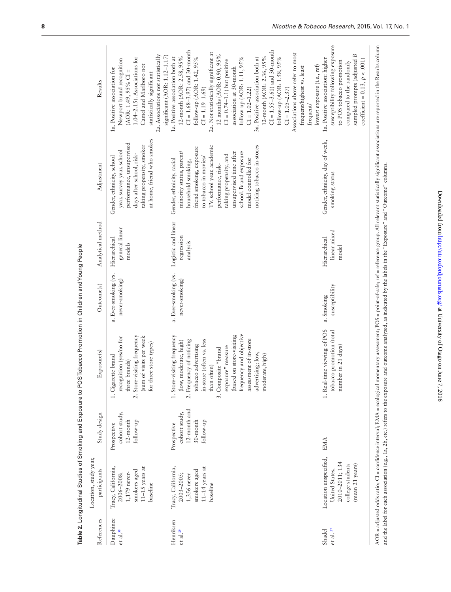<span id="page-6-0"></span>

| References                        | Location, study year,<br>participants                                                            | Study design                                                             | Exposure(s)                                                                                                                                                                                                                                                                                                             | Outcome(s)                             | Analytical method                             | Adjustment                                                                                                                                                                                                                                                                                                               | Results                                                                                                                                                                                                                                                                                                                                                                                                                                                                                                                                                                                                      |
|-----------------------------------|--------------------------------------------------------------------------------------------------|--------------------------------------------------------------------------|-------------------------------------------------------------------------------------------------------------------------------------------------------------------------------------------------------------------------------------------------------------------------------------------------------------------------|----------------------------------------|-----------------------------------------------|--------------------------------------------------------------------------------------------------------------------------------------------------------------------------------------------------------------------------------------------------------------------------------------------------------------------------|--------------------------------------------------------------------------------------------------------------------------------------------------------------------------------------------------------------------------------------------------------------------------------------------------------------------------------------------------------------------------------------------------------------------------------------------------------------------------------------------------------------------------------------------------------------------------------------------------------------|
| Dauphinee<br>et al. <sup>38</sup> | $11-15$ years at<br>Tracy, California,<br>smokers aged<br>1,179 never-<br>2006-2008;<br>baseline | cohort study,<br>$12$ -month<br>follow-up<br>Prospective                 | 2. Store-visiting frequency<br>(sum of visits per week<br>recognition (yes/no for<br>three store types)<br>1. Cigarette brand<br>three brands)<br>for                                                                                                                                                                   | a. Ever-smoking (vs.<br>never-smoking) | general linear<br>Hierarchical<br>models      | at home, friend who smokes<br>performance, unsupervised<br>taking propensity, smoker<br>year, survey year, school<br>days after school, risk-<br>Gender, ethnicity, school                                                                                                                                               | 2a. Associations not statistically<br>significant (AOR: 1.12-1.17)<br>1.04-2.15). Associations for<br>Newport brand recognition<br>Camel and Marlboro not<br>1a. Positive association for<br>$(AOR: 1.49, 95\% \text{ CI} =$<br>statistically significant                                                                                                                                                                                                                                                                                                                                                    |
| Henriksen<br>et al. <sup>39</sup> | $11-14$ years at<br>Tracy, California,<br>smokers aged<br>1,356 never-<br>2003-2005;<br>baseline | 12-month and<br>cohort study,<br>$30$ -month<br>follow-up<br>Prospective | frequency and objective<br>1. Store-visiting frequency<br>(based on store-visiting<br>assessment of in-store<br>2. Frequency of noticing<br>in-store (often vs. less<br>(low, moderate, high)<br>tobacco advertising<br>exposure" measure<br>3. Composite "brand<br>advertising; low,<br>moderate, high)<br>than often) | a. Ever-smoking (vs.<br>never-smoking) | Logistic and linear<br>regression<br>analysis | TV, school year, academic<br>noticing tobacco in-stores<br>friend smoking, exposure<br>school. Brand exposure<br>minority status, parent/<br>unsupervised time after<br>taking propensity, and<br>to tobacco in movies/<br>Gender, ethnicity, racial<br>model controlled for<br>household smoking,<br>performance, risk- | $CI = 1.68 - 3.97$ and 30-month<br>$CI = 1.55 - 3.61$ and 30-month<br>2a. Not statistically significant at<br>Associations above refer to most<br>12 months (AOR: 0.90, 95%<br>1a. Positive association both at<br>12-month (AOR: 2.58, 95%<br>12-month (AOR: 2.36, 95%<br>follow-up (AOR: 1.11, 95%<br>3a. Positive association both at<br>follow-up (AOR: 1.42, 95%<br>follow-up (AOR: 1.58, 95%<br>$CI = 0.74 - 1.1$ ) but positive<br>lowest exposure (i.e., ref)<br>frequent/highest vs. least<br>association at 30-month<br>$CI = 1.19 - 1.69$<br>$CI = 1.05 - 2.37$<br>$CI = 1.02 - 1.22$<br>frequent |
| et al. <sup>37</sup><br>Shadel    | Location unspecified,<br>2010-2011; 134<br>(mean 21 years)<br>college students<br>United States. | EMA                                                                      | 1. Real-time viewing of POS<br>tobacco promotion (total<br>number in 21 days)                                                                                                                                                                                                                                           | susceptibility<br>a. Smoking           | linear mixed<br>Hierarchical<br>model         | Gender, ethnicity, day of week,<br>smoking status                                                                                                                                                                                                                                                                        | susceptibility following exposure<br>B<br>1a. Positive association: higher<br>coefficient = $0.13, p < .001$ )<br>sampled prompts (adjusted<br>to POS tobacco promotion<br>compared to the randomly                                                                                                                                                                                                                                                                                                                                                                                                          |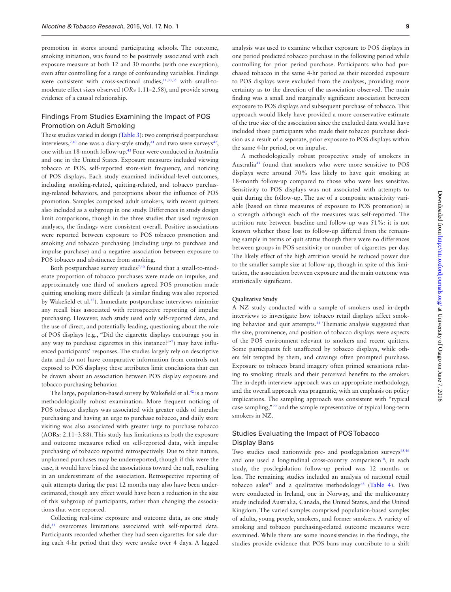promotion in stores around participating schools. The outcome, smoking initiation, was found to be positively associated with each exposure measure at both 12 and 30 months (with one exception), even after controlling for a range of confounding variables. Findings were consistent with cross-sectional studies,<sup>11,[33,](#page-15-9)[35](#page-15-11)</sup> with small-tomoderate effect sizes observed (*OR*s 1.11–2.58), and provide strong evidence of a causal relationship.

# Findings From Studies Examining the Impact of POS Promotion on Adult Smoking

These studies varied in design [\(Table 3](#page-8-0)): two comprised postpurchase interviews, $7,40$  $7,40$  one was a diary-style study, $41$  and two were surveys $42$ , one with an 18-month follow-up[.43](#page-15-19) Four were conducted in Australia and one in the United States. Exposure measures included viewing tobacco at POS, self-reported store-visit frequency, and noticing of POS displays. Each study examined individual-level outcomes, including smoking-related, quitting-related, and tobacco purchasing-related behaviors, and perceptions about the influence of POS promotion. Samples comprised adult smokers, with recent quitters also included as a subgroup in one study. Differences in study design limit comparisons, though in the three studies that used regression analyses, the findings were consistent overall. Positive associations were reported between exposure to POS tobacco promotion and smoking and tobacco purchasing (including urge to purchase and impulse purchase) and a negative association between exposure to POS tobacco and abstinence from smoking.

Both postpurchase survey studies<sup>7,[40](#page-15-16)</sup> found that a small-to-moderate proportion of tobacco purchases were made on impulse, and approximately one third of smokers agreed POS promotion made quitting smoking more difficult (a similar finding was also reported by Wakefield et al.<sup>42</sup>). Immediate postpurchase interviews minimize any recall bias associated with retrospective reporting of impulse purchasing. However, each study used only self-reported data, and the use of direct, and potentially leading, questioning about the role of POS displays (e.g., "Did the cigarette displays encourage you in any way to purchase cigarettes in this instance?["7](#page-14-6) ) may have influenced participants' responses. The studies largely rely on descriptive data and do not have comparative information from controls not exposed to POS displays; these attributes limit conclusions that can be drawn about an association between POS display exposure and tobacco purchasing behavior.

The large, population-based survey by Wakefield et al.<sup>42</sup> is a more methodologically robust examination. More frequent noticing of POS tobacco displays was associated with greater odds of impulse purchasing and having an urge to purchase tobacco, and daily store visiting was also associated with greater urge to purchase tobacco (AORs: 2.11–3.88). This study has limitations as both the exposure and outcome measures relied on self-reported data, with impulse purchasing of tobacco reported retrospectively. Due to their nature, unplanned purchases may be underreported, though if this were the case, it would have biased the associations toward the null, resulting in an underestimate of the association. Retrospective reporting of quit attempts during the past 12 months may also have been underestimated, though any effect would have been a reduction in the size of this subgroup of participants, rather than changing the associations that were reported.

Collecting real-time exposure and outcome data, as one study did,[41](#page-15-17) overcomes limitations associated with self-reported data. Participants recorded whether they had seen cigarettes for sale during each 4-hr period that they were awake over 4 days. A lagged analysis was used to examine whether exposure to POS displays in one period predicted tobacco purchase in the following period while controlling for prior period purchase. Participants who had purchased tobacco in the same 4-hr period as their recorded exposure to POS displays were excluded from the analyses, providing more certainty as to the direction of the association observed. The main finding was a small and marginally significant association between exposure to POS displays and subsequent purchase of tobacco. This approach would likely have provided a more conservative estimate of the true size of the association since the excluded data would have included those participants who made their tobacco purchase decision as a result of a separate, prior exposure to POS displays within the same 4-hr period, or on impulse.

A methodologically robust prospective study of smokers in Australia[43](#page-15-19) found that smokers who were more sensitive to POS displays were around 70% less likely to have quit smoking at 18-month follow-up compared to those who were less sensitive. Sensitivity to POS displays was not associated with attempts to quit during the follow-up. The use of a composite sensitivity variable (based on three measures of exposure to POS promotion) is a strength although each of the measures was self-reported. The attrition rate between baseline and follow-up was 51%: it is not known whether those lost to follow-up differed from the remaining sample in terms of quit status though there were no differences between groups in POS sensitivity or number of cigarettes per day. The likely effect of the high attrition would be reduced power due to the smaller sample size at follow-up, though in spite of this limitation, the association between exposure and the main outcome was statistically significant.

#### **Qualitative Study**

A NZ study conducted with a sample of smokers used in-depth interviews to investigate how tobacco retail displays affect smoking behavior and quit attempts.[44](#page-15-20) Thematic analysis suggested that the size, prominence, and position of tobacco displays were aspects of the POS environment relevant to smokers and recent quitters. Some participants felt unaffected by tobacco displays, while others felt tempted by them, and cravings often prompted purchase. Exposure to tobacco brand imagery often primed sensations relating to smoking rituals and their perceived benefits to the smoker. The in-depth interview approach was an appropriate methodology, and the overall approach was pragmatic, with an emphasis on policy implications. The sampling approach was consistent with "typical case sampling,["29](#page-15-5) and the sample representative of typical long-term smokers in NZ.

## Studies Evaluating the Impact of POS Tobacco Display Bans

Two studies used nationwide pre- and postlegislation surveys<sup>[45](#page-15-21)[,46](#page-15-22)</sup> and one used a longitudinal cross-country comparison<sup>10</sup>; in each study, the postlegislation follow-up period was 12 months or less. The remaining studies included an analysis of national retail tobacco sales<sup>47</sup> and a qualitative methodology<sup>48</sup> (Table 4). Two were conducted in Ireland, one in Norway, and the multicountry study included Australia, Canada, the United States, and the United Kingdom. The varied samples comprised population-based samples of adults, young people, smokers, and former smokers. A variety of smoking and tobacco purchasing-related outcome measures were examined. While there are some inconsistencies in the findings, the studies provide evidence that POS bans may contribute to a shift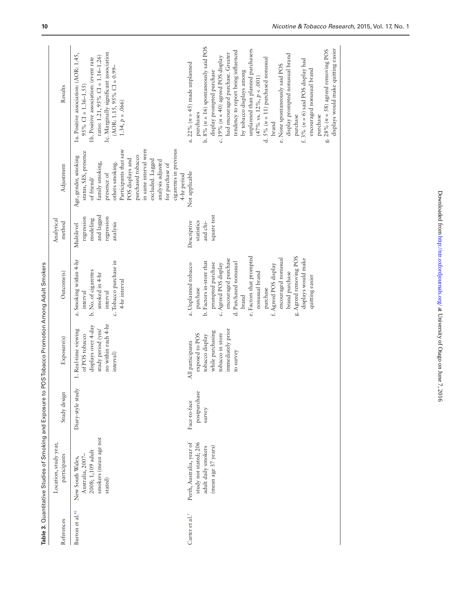|                             | Table 3. Quantitative Studies of Smoking and Exposure to POSTobacco Promotion Among Adult Smokers |                                        |                                                                                                                                 |                                                                                                                                                                                                                                                                                                                                                                     |                                                                              |                                                                                                                                                                                                                                                                                                                  |                                                                                                                                                                                                                                                                                                                                                                                                                                                                                                                                                                                                                                                                           |
|-----------------------------|---------------------------------------------------------------------------------------------------|----------------------------------------|---------------------------------------------------------------------------------------------------------------------------------|---------------------------------------------------------------------------------------------------------------------------------------------------------------------------------------------------------------------------------------------------------------------------------------------------------------------------------------------------------------------|------------------------------------------------------------------------------|------------------------------------------------------------------------------------------------------------------------------------------------------------------------------------------------------------------------------------------------------------------------------------------------------------------|---------------------------------------------------------------------------------------------------------------------------------------------------------------------------------------------------------------------------------------------------------------------------------------------------------------------------------------------------------------------------------------------------------------------------------------------------------------------------------------------------------------------------------------------------------------------------------------------------------------------------------------------------------------------------|
| References                  | Location, study year,<br>participants                                                             | Study design                           | Exposure(s)                                                                                                                     | Outcome(s)                                                                                                                                                                                                                                                                                                                                                          | Analytical<br>method                                                         | Adjustment                                                                                                                                                                                                                                                                                                       | Results                                                                                                                                                                                                                                                                                                                                                                                                                                                                                                                                                                                                                                                                   |
| Burton et al. <sup>41</sup> | smokers (mean age not<br>2008; 1,109 adult<br>Australia, 2007-<br>New South Wales,<br>stated)     | Diary-style study                      | no within each 4-hr<br>displays over 4-day<br>1. Real-time viewing<br>study period (yes/<br>of POS tobacco<br>interval)         | a. Smoking within 4-hr<br>c. Tobacco purchase in<br>b. No. of cigarettes<br>smoked in 4-hr<br>4-hr interval<br>interval<br>interval                                                                                                                                                                                                                                 | and lagged<br>regression<br>regression<br>modeling<br>analysis<br>Multilevel | in same interval were<br>cigarettes in previous<br>Participants that saw<br>status, SES, presence<br>purchased tobacco<br>Age, gender, smoking<br>POS displays and<br>excluded. Lagged<br>analysis adjusted<br>family smoking,<br>others smoking.<br>for purchase of<br>presence of<br>4-hr period<br>of friend/ | 1a. Positive association: (AOR: 1.45,<br>1c. Marginally significant association<br>ratio: 1.21, 95% CI = 1.16-1.26)<br>1b. Positive association: (event rate<br>(AOR: 1.15, 95% CI = $0.99$<br>$95\%$ CI = 1.36-1.55)<br>$1.34, p = .066$                                                                                                                                                                                                                                                                                                                                                                                                                                 |
| Carter et al. <sup>7</sup>  | Perth, Australia, year of<br>study not stated; 206<br>adult daily smokers<br>(mean age 37 years)  | postpurchase<br>Face-to-face<br>survey | immediately prior<br>while purchasing<br>tobacco in store<br>exposed to POS<br>tobacco display<br>All participants<br>to survey | e. Factors that prompted<br>g. Agreed removing POS<br>encouraged purchase<br>displays would make<br>encouraged nonusual<br>b. Factors in-store that<br>d. Purchased nonusual<br>prompted purchase<br>c. Agreed POS display<br>a. Unplanned tobacco<br>f. Agreed POS display<br>brand purchase<br>nonusual brand<br>quitting easier<br>purchase<br>purchase<br>brand | square test<br>statistics<br>Descriptive<br>and chi-                         | Not applicable                                                                                                                                                                                                                                                                                                   | b. $8\%$ ( $n = 16$ ) spontaneously said POS<br>displays would make quitting easier<br>unplanned than planned purchasers<br>g. 28% ( $n = 58$ ) agreed removing POS<br>tendency to report being influenced<br>had encouraged purchase. Greater<br>display prompted nonusual brand<br>c. 19% ( $n = 40$ ) agreed POS display<br>d. $5\%$ ( $n = 11$ ) purchased nonusual<br>f. 3% ( $n = 6$ ) said POS display had<br>a. $22\%$ ( $n = 45$ ) made unplanned<br>e. None spontaneously said POS<br>encouraged nonusual brand<br>by tobacco displays among<br>display prompted purchase<br>$(47\% \text{ vs. } 12\%, p < .001)$<br>purchases<br>purchase<br>purchase<br>brand |

<span id="page-8-0"></span>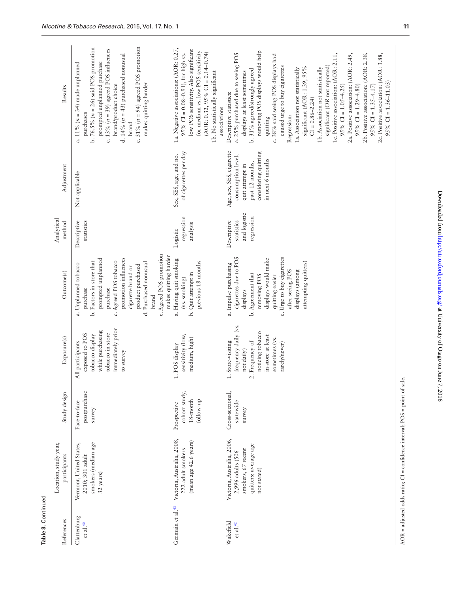| Table 3. Continued                  |                                                                                                               |                                                          |                                                                                                                                                        |                                                                                                                                                                                                                                                                                  |                                                            |                                                                                                                                  |                                                                                                                                                                                                                                                                                                                                                                                                                                                                                                                                                                                                                                                                                                                  |
|-------------------------------------|---------------------------------------------------------------------------------------------------------------|----------------------------------------------------------|--------------------------------------------------------------------------------------------------------------------------------------------------------|----------------------------------------------------------------------------------------------------------------------------------------------------------------------------------------------------------------------------------------------------------------------------------|------------------------------------------------------------|----------------------------------------------------------------------------------------------------------------------------------|------------------------------------------------------------------------------------------------------------------------------------------------------------------------------------------------------------------------------------------------------------------------------------------------------------------------------------------------------------------------------------------------------------------------------------------------------------------------------------------------------------------------------------------------------------------------------------------------------------------------------------------------------------------------------------------------------------------|
| References                          | Location, study year,<br>participants                                                                         | Study design                                             | Exposure(s)                                                                                                                                            | Outcome(s)                                                                                                                                                                                                                                                                       | Analytical<br>$% \left\vert \phi _{0}\right\rangle$ method | Adjustment                                                                                                                       | Results                                                                                                                                                                                                                                                                                                                                                                                                                                                                                                                                                                                                                                                                                                          |
| Clattenburg<br>et al. <sup>40</sup> | smokers (median age<br>Vermont, United States,<br>2010; 301 adult<br>32 years)                                | postpurchase<br>Face-to-face<br>survey                   | immediately prior<br>while purchasing<br>tobacco in store<br>tobacco display<br>exposed to POS<br>All participants<br>to survey                        | e. Agreed POS promotion<br>makes quitting harder<br>promotion influences<br>prompted unplanned<br>c. Agreed POS tobacco<br>b. Factors in-store that<br>d. Purchased nonusual<br>a. Unplanned tobacco<br>product purchased<br>cigarette brand or<br>purchase<br>purchase<br>brand | statistics<br>Descriptive                                  | Not applicable                                                                                                                   | e. 31% ( $n = 94$ ) agreed POS promotion<br>b. 76.5% ( $n = 26$ ) said POS promotion<br>c. 13% ( $n = 39$ ) agreed POS influences<br>d. 14% ( $n = 43$ ) purchased nonusual<br>prompted unplanned purchase<br>a. 11% ( $n = 34$ ) made unplanned<br>makes quitting harder<br>brand/product choice<br>purchases<br>brand                                                                                                                                                                                                                                                                                                                                                                                          |
| Germain et al. <sup>43</sup>        | Victoria, Australia, 2008,<br>(mean age 42.6 years)<br>222 adult smokers                                      | cohort study,<br>$18$ -month<br>follow-up<br>Prospective | sensitivity (low,<br>medium, high)<br>1. POS display                                                                                                   | a. Having quit smoking<br>previous 18 months<br>b. Quit attempt in<br>$(vs.$ smoking)                                                                                                                                                                                            | regression<br>analysis<br>Logistic                         | of cigarettes per day<br>Sex, SES, age, and no.                                                                                  | 1a. Negative associations: (AOR: 0.27,<br>low POS sensitivity. Also significant<br>for medium vs. low POS sensitivity<br>$(AOR: 0.32, 95\% \text{ CI} = 0.14-0.74)$<br>95% CI = $0.08 - 0.91$ ), for high vs.<br>1b. No statistically significant<br>associations                                                                                                                                                                                                                                                                                                                                                                                                                                                |
| Wakefield<br>$et$ al. <sup>42</sup> | Victoria, Australia, 2006,<br>quitters; average age<br>smokers, 67 recent<br>2,996 adults (506<br>not stated) | Cross-sectional,<br>statewide<br>survey                  | frequency daily (vs.<br>noticing tobacco<br>in-store at least<br>sometimes (vs.<br>2. Frequency of<br>1. Store-visiting<br>rarely/never)<br>not daily) | cigarettes due to POS<br>c. Urge to buy cigarettes<br>displays would make<br>attempting quitters)<br>a. Impulse purchasing<br>after seeing POS<br>displays (among<br>b. Agreement that<br>removing POS<br>quitting easier<br>displays                                            | and logistic<br>regression<br>statistics<br>Descriptive    | Age, sex, SES, cigarette<br>considering quitting<br>consumption level,<br>in next 6 months<br>past 12 months,<br>quit attempt in | removing POS displays would help<br>a. 25% purchased due to seeing POS<br>2b. Positive association: (AOR: 2.38,<br>1c. Positive association: (AOR: 2.11,<br>c. 38% said seeing POS displays had<br>2a. Positive association: (AOR: 2.49,<br>2c. Positive association: (AOR: 3.88,<br>significant (OR not reported)<br>caused urge to buy cigarettes<br>significant (AOR: 1.39, 95%<br>1a. Association not statistically<br>1b. Association not statistically<br>b. 31% agreed/strongly agreed<br>displays at least sometimes<br>$95\%$ CI = 1.36-11.03)<br>$95\%$ CI = 1.29-4.80)<br>$95\%$ CI = 1.05-4.25)<br>$95\%$ CI = 1.35-4.17<br>Descriptive statistics:<br>$CI = 0.86 - 2.24$<br>Regression:<br>quitting |
|                                     | AOR = adjusted odds ratio: $CI = confdence$ interval: POS = point-of-sale.                                    |                                                          |                                                                                                                                                        |                                                                                                                                                                                                                                                                                  |                                                            |                                                                                                                                  |                                                                                                                                                                                                                                                                                                                                                                                                                                                                                                                                                                                                                                                                                                                  |

Downloaded from http://ntr.oxfordjournals.org/ at University of Otago on June 7, 2016 Downloaded from <http://ntr.oxfordjournals.org/> at University of Otago on June 7, 2016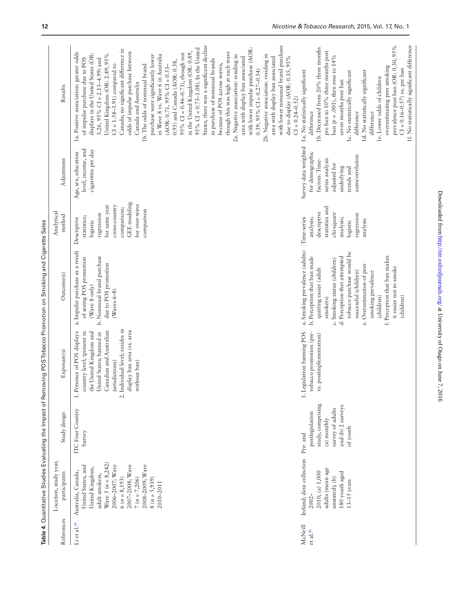<span id="page-10-0"></span>

|                                 |                                                                                                                                                                                                                                      |                                                                                                                      |                                                                                                                                                                                                                                               | Table 4. Quantitative Studies Evaluating the Impact of Removing POS Tobacco Promotion on Smoking and Cigarette Sales                                                                                                                                                                                                                                                  |                                                                                                                                                      |                                                                                                                                             |                                                                                                                                                                                                                                                                                                                                                                                                                                                                                                                                                                                                                                                                                                                                                                                                                                                                                                                                                                                                                                                                                                          |
|---------------------------------|--------------------------------------------------------------------------------------------------------------------------------------------------------------------------------------------------------------------------------------|----------------------------------------------------------------------------------------------------------------------|-----------------------------------------------------------------------------------------------------------------------------------------------------------------------------------------------------------------------------------------------|-----------------------------------------------------------------------------------------------------------------------------------------------------------------------------------------------------------------------------------------------------------------------------------------------------------------------------------------------------------------------|------------------------------------------------------------------------------------------------------------------------------------------------------|---------------------------------------------------------------------------------------------------------------------------------------------|----------------------------------------------------------------------------------------------------------------------------------------------------------------------------------------------------------------------------------------------------------------------------------------------------------------------------------------------------------------------------------------------------------------------------------------------------------------------------------------------------------------------------------------------------------------------------------------------------------------------------------------------------------------------------------------------------------------------------------------------------------------------------------------------------------------------------------------------------------------------------------------------------------------------------------------------------------------------------------------------------------------------------------------------------------------------------------------------------------|
| References                      | Location, study year,<br>participants                                                                                                                                                                                                | Study design                                                                                                         | Exposure(s)                                                                                                                                                                                                                                   | Outcome(s)                                                                                                                                                                                                                                                                                                                                                            | Analytical<br>method                                                                                                                                 | Adjustment                                                                                                                                  | Results                                                                                                                                                                                                                                                                                                                                                                                                                                                                                                                                                                                                                                                                                                                                                                                                                                                                                                                                                                                                                                                                                                  |
| Li et al. <sup>10</sup>         | Wave 5 ( $n = 8,242$ )<br>2006-2007; Wave<br>2007-2008; Wave<br>2008-2009; Wave<br>United States, and<br>United Kingdom,<br>Australia, Canada,<br>adult smokers,<br>$6(n = 8, 193)$<br>$7(n = 7,206)$<br>$8(n = 5,939)$<br>2010-2011 | <b>ITC</b> Four Country<br>Survey                                                                                    | 2. Individual level; resides in<br>display ban area (vs. area<br>Canadian and Australian<br>1. Presence of POS displays<br>the United Kingdom and<br>country level; (present in<br>United States; banned in<br>jurisdictions)<br>without ban) | a. Impulse purchase as a result<br>b. Nonusual brand purchase<br>of seeing POS promotion<br>due to POS promotion<br>(Wave 8 only)<br>$(Waves 6-8)$                                                                                                                                                                                                                    | GEE modeling<br>for over-wave<br>for same year<br>cross-country<br>comparison;<br>comparison<br>regression<br>statistics;<br>Descriptive<br>logistic | level, income, and<br>cigarettes per day<br>Age, sex, education                                                                             | States, there was a significant decline<br>with lower nonusual brand purchase<br>with lower impulse purchase (AOR:<br>95% CI = $0.73 - 1.08$ ). In the United<br>Canada; no significant difference in<br>odds of impulse purchase between<br>though this was high at each wave<br>in the United Kingdom (OR: 0.89,<br>95% CI = $0.46 - 0.73$ ), though not<br>1a. Positive association: greater odds<br>displays in the United States (OR:<br>United Kingdom (OR: 2.49, 95%<br>in Wave 8 vs. Wave 6 in Australia<br>purchase were significantly lower<br>2a. Negative association: residing in<br>2b. Negative association: residing in<br>due to display (AOR: 0.35, 95%<br>area with display ban associated<br>area with display ban associated<br>of impulse purchase due to POS<br>3.26, 95% CI = 2.13-4.99) and<br>in purchase of nonusual brands<br>0.95) and Canada (AOR: 0.58,<br>because of POS across waves,<br>$CI = 1.58 - 3.91$ compared to<br>1b. The odds of nonusual brand<br>$(AOR: 0.71, 95\% CI = 0.53-$<br>$0.39,95\%$ CI = 0.27-0.54)<br>Canada and Australia<br>$CI = 0.24 - 0.52$ |
| McNeill<br>et al. <sup>45</sup> | Ireland; data collection<br>adults (mean age<br>180 youth aged<br>2010; (a) 1,000<br>$unstated$ ; $(b)$<br>$13-15$ years<br>$2002 -$                                                                                                 | study, comprising<br>and (b) 2 surveys<br>survey of adults<br>postlegislation<br>(a) monthly<br>of youth<br>Pre- and | tobacco promotion (pre-<br>1. Legislation banning POS<br>postimplementation)<br>vs.                                                                                                                                                           | a. Smoking prevalence (adults)<br>tobacco purchase would be<br>f. Perception that ban makes<br>d. Perception that attempted<br>b. Perception that ban made<br>Smoking status (children)<br>e. Overestimation of peer<br>it easier not to smoke<br>quitting easier (adult<br>successful (children)<br>smoking prevalence<br>(children)<br>(children)<br>smokers)<br>Ġ, | statistics and<br>descriptive<br>chi-square<br>regression<br>analysis;<br>Time-series<br>analysis;<br>analysis<br>logistic                           | Survey data weighted<br>for demographic<br>autocorrelation<br>series analysis<br>factors. Time-<br>adjusted for<br>underlying<br>trends and | 1f. No statistically significant difference<br>prevalence post ban (OR: 0.30, 95%<br>1b. Decreased from 20% three months<br>pre ban to 10% three months post<br>ban ( $p < .001$ ), then rose to 14%<br>overestimating peer smoking<br>$CI = 0.16 - 0.57$ vs. pre ban<br>1d. No statistically significant<br>1a. No statistically significant<br>1c. No statistically significant<br>1e. Lower odds of children<br>seven months post ban<br>difference<br>difference<br>difference                                                                                                                                                                                                                                                                                                                                                                                                                                                                                                                                                                                                                       |

|                      |                                           |                                       |                         |                                                                       |                |                 | $CI = 0.24 - 0.52$                                   |
|----------------------|-------------------------------------------|---------------------------------------|-------------------------|-----------------------------------------------------------------------|----------------|-----------------|------------------------------------------------------|
|                      | McNeill Ireland; data collection Pre- and |                                       |                         | 1. Legislation banning POS a. Smoking prevalence (adults) Time-series |                |                 | Survey data weighted 1a. No statistically significan |
| et al. <sup>45</sup> | $2002 -$                                  | postlegislation                       |                         | tobacco promotion (pre- b. Perception that ban made                   | analysis;      | for demographic | difference                                           |
|                      |                                           |                                       | vs. postimplementation) | quitting easier (adult                                                | descriptive    | factors. Time-  | 1b. Decreased from 20% thi                           |
|                      | $2010$ ; (a) $1,000$<br>adults (mean age  | study, comprising<br>(a) monthly      |                         | smokers)                                                              | statistics and | series analysis | pre ban to 10% three mo                              |
|                      | $m\n  \text{m} (b) \text{m}$              |                                       |                         | c. Smoking status (children)                                          | chi-square     | adjusted for    | ban $(p<.001),$ then rose                            |
|                      | 180 youth aged                            | survey of adults<br>and (b) 2 surveys |                         | d. Perception that attempted                                          | analysis;      | underlying      | seven months post ban                                |
|                      | $13-15$ years                             | of youth                              |                         | tobacco purchase would be                                             | logistic       | rends and       | 1c. No statistically significan                      |
|                      |                                           |                                       |                         | successful (children)                                                 | regression     | autocorrelation | difference                                           |
|                      |                                           |                                       |                         | e. Overestimation of peer                                             | analysis       |                 | 1d. No statistically significan                      |
|                      |                                           |                                       |                         | smoking prevalence                                                    |                |                 | difference                                           |
|                      |                                           |                                       |                         | (children)                                                            |                |                 | 1e. Lower odds of children                           |
|                      |                                           |                                       |                         | f. Perception that ban makes                                          |                |                 | overestimating peer smok                             |
|                      |                                           |                                       |                         | it easier not to smoke                                                |                |                 | prevalence post ban (OR:                             |
|                      |                                           |                                       |                         | (children)                                                            |                |                 | $CI = 0.16 - 0.57$ vs. pre b.                        |
|                      |                                           |                                       |                         |                                                                       |                |                 |                                                      |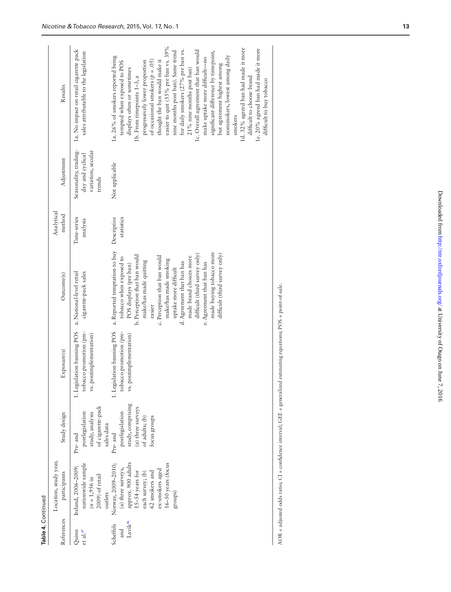| ٢ |
|---|
| ۲ |
|   |
| г |
|   |

| Table 4. Continued                      |                                                                                                                                                                             |                                                                                                        |                                                                                                                   |                                                                                                                                                                                                                                                                                                                                                                                                                             |                           |                                                                           |                                                                                                                                                                                                                                                                                                                                                                                                                                                                                                                                                                                                                                                                                                                            |
|-----------------------------------------|-----------------------------------------------------------------------------------------------------------------------------------------------------------------------------|--------------------------------------------------------------------------------------------------------|-------------------------------------------------------------------------------------------------------------------|-----------------------------------------------------------------------------------------------------------------------------------------------------------------------------------------------------------------------------------------------------------------------------------------------------------------------------------------------------------------------------------------------------------------------------|---------------------------|---------------------------------------------------------------------------|----------------------------------------------------------------------------------------------------------------------------------------------------------------------------------------------------------------------------------------------------------------------------------------------------------------------------------------------------------------------------------------------------------------------------------------------------------------------------------------------------------------------------------------------------------------------------------------------------------------------------------------------------------------------------------------------------------------------------|
| References                              | Location, study year,<br>participants                                                                                                                                       | Study design                                                                                           | Exposure(s)                                                                                                       | Outcome(s)                                                                                                                                                                                                                                                                                                                                                                                                                  | Analytical<br>method      | Adjustment                                                                | Results                                                                                                                                                                                                                                                                                                                                                                                                                                                                                                                                                                                                                                                                                                                    |
| Quinn<br>et al $^{47}$                  | nationwide sample<br>Ireland, 2006-2009;<br>( $n = 1,956$ in<br>2009) of retail<br>outlets                                                                                  | of cigarette-pack<br>postlegislation<br>study, analysis<br>sales data<br>Pre-and                       | 1. Legislation banning POS<br>tobacco promotion (pre-<br>vs. postimplementation)                                  | a. National-level retail<br>cigarette-pack sales                                                                                                                                                                                                                                                                                                                                                                            | Time-series<br>analysis   | Seasonality, trading-<br>variation, secular<br>day and cyclical<br>trends | 1a. No impact on retail cigarette pack<br>sales attributable to the legislation                                                                                                                                                                                                                                                                                                                                                                                                                                                                                                                                                                                                                                            |
| Lavik <sup>46</sup><br>Scheffels<br>and | approx. 900 adults<br>16-50 years (focus<br>Norway, 2009-2010;<br>(a) three surveys,<br>ex-smokers aged<br>62 smokers and<br>each survey; (b)<br>15-54 years for<br>groups) | study, comprising<br>(a) three surveys<br>postlegislation<br>focus groups<br>of adults; (b)<br>Pre-and | 1. Legislation banning POS<br>tobacco promotion (pre-<br>postimplementation)<br>vs.                               | a. Reported temptation to buy<br>made buying tobacco more<br>difficult (third survey only)<br>difficult (third survey only)<br>b. Perception that ban would<br>c. Perception that ban would<br>made brand choices more<br>tobacco when exposed to<br>make/has made smoking<br>make/has made quitting<br>d. Agreement that ban has<br>e. Agreement that ban has<br>POS displays (pre ban)<br>uptake more difficult<br>easier | Descriptive<br>statistics | Not applicable                                                            | easier to quit (55% pre ban vs. 39%<br>1d. 32% agreed ban had made it more<br>for daily smokers (27% pre ban vs.<br>1e. 20% agreed ban had made it more<br>1c. Overall agreement that ban would<br>nine months post ban). Same trend<br>significant difference by timepoint,<br>nonsmokers, lowest among daily<br>1a. 26% of smokers reported being<br>make uptake more difficult-no<br>of occasional smokers ( $p = .05$ )<br>thought the ban would make it<br>progressively lower proportion<br>tempted when exposed to POS<br>but agreement highest among<br>21% nine months post ban)<br>displays often or sometimes<br>1b. From timepoints 1-3, a<br>difficult to choose brand<br>difficult to buy tobacco<br>smokers |
|                                         |                                                                                                                                                                             |                                                                                                        | AOR = adjusted odds ratio; CI = confidence interval; GEE = generalized estimating equations; POS = point-of-sale. |                                                                                                                                                                                                                                                                                                                                                                                                                             |                           |                                                                           |                                                                                                                                                                                                                                                                                                                                                                                                                                                                                                                                                                                                                                                                                                                            |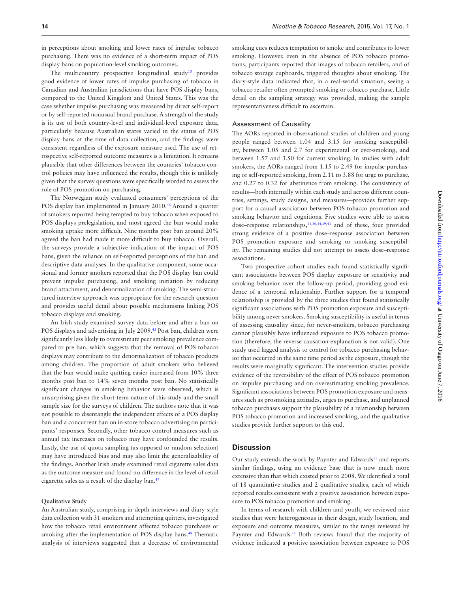in perceptions about smoking and lower rates of impulse tobacco purchasing. There was no evidence of a short-term impact of POS display bans on population-level smoking outcomes.

The multicountry prospective longitudinal study<sup>10</sup> provides good evidence of lower rates of impulse purchasing of tobacco in Canadian and Australian jurisdictions that have POS display bans, compared to the United Kingdom and United States. This was the case whether impulse purchasing was measured by direct self-report or by self-reported nonusual brand purchase. A strength of the study is its use of both country-level and individual-level exposure data, particularly because Australian states varied in the status of POS display bans at the time of data collection, and the findings were consistent regardless of the exposure measure used. The use of retrospective self-reported outcome measures is a limitation. It remains plausible that other differences between the countries' tobacco control policies may have influenced the results, though this is unlikely given that the survey questions were specifically worded to assess the role of POS promotion on purchasing.

The Norwegian study evaluated consumers' perceptions of the POS display ban implemented in January 2010[.46](#page-15-22) Around a quarter of smokers reported being tempted to buy tobacco when exposed to POS displays prelegislation, and most agreed the ban would make smoking uptake more difficult. Nine months post ban around 20% agreed the ban had made it more difficult to buy tobacco. Overall, the surveys provide a subjective indication of the impact of POS bans, given the reliance on self-reported perceptions of the ban and descriptive data analyses. In the qualitative component, some occasional and former smokers reported that the POS display ban could prevent impulse purchasing, and smoking initiation by reducing brand attachment, and denormalization of smoking. The semi-structured interview approach was appropriate for the research question and provides useful detail about possible mechanisms linking POS tobacco displays and smoking.

An Irish study examined survey data before and after a ban on POS displays and advertising in July 2009.<sup>45</sup> Post ban, children were significantly less likely to overestimate peer smoking prevalence compared to pre ban, which suggests that the removal of POS tobacco displays may contribute to the denormalization of tobacco products among children. The proportion of adult smokers who believed that the ban would make quitting easier increased from 10% three months post ban to 14% seven months post ban. No statistically significant changes in smoking behavior were observed, which is unsurprising given the short-term nature of this study and the small sample size for the surveys of children. The authors note that it was not possible to disentangle the independent effects of a POS display ban and a concurrent ban on in-store tobacco advertising on participants' responses. Secondly, other tobacco control measures such as annual tax increases on tobacco may have confounded the results. Lastly, the use of quota sampling (as opposed to random selection) may have introduced bias and may also limit the generalizability of the findings. Another Irish study examined retail cigarette sales data as the outcome measure and found no difference in the level of retail cigarette sales as a result of the display ban[.47](#page-15-23)

## **Qualitative Study**

An Australian study, comprising in-depth interviews and diary-style data collection with 31 smokers and attempting quitters, investigated how the tobacco retail environment affected tobacco purchases or smoking after the implementation of POS display bans.<sup>48</sup> Thematic analysis of interviews suggested that a decrease of environmental

smoking cues reduces temptation to smoke and contributes to lower smoking. However, even in the absence of POS tobacco promotions, participants reported that images of tobacco retailers, and of tobacco storage cupboards, triggered thoughts about smoking. The diary-style data indicated that, in a real-world situation, seeing a tobacco retailer often prompted smoking or tobacco purchase. Little detail on the sampling strategy was provided, making the sample representativeness difficult to ascertain.

## Assessment of Causality

The AORs reported in observational studies of children and young people ranged between 1.04 and 3.15 for smoking susceptibility, between 1.05 and 2.7 for experimental or ever-smoking, and between 1.57 and 3.50 for current smoking. In studies with adult smokers, the AORs ranged from 1.15 to 2.49 for impulse purchasing or self-reported smoking, from 2.11 to 3.88 for urge to purchase, and 0.27 to 0.32 for abstinence from smoking. The consistency of results—both internally within each study and across different countries, settings, study designs, and measures—provides further support for a causal association between POS tobacco promotion and smoking behavior and cognitions. Five studies were able to assess dose–response relationships, $11,30,34,39,43$  $11,30,34,39,43$  $11,30,34,39,43$  $11,30,34,39,43$  $11,30,34,39,43$  and of these, four provided strong evidence of a positive dose–response association between POS promotion exposure and smoking or smoking susceptibility. The remaining studies did not attempt to assess dose–response associations.

Two prospective cohort studies each found statistically significant associations between POS display exposure or sensitivity and smoking behavior over the follow-up period, providing good evidence of a temporal relationship. Further support for a temporal relationship is provided by the three studies that found statistically significant associations with POS promotion exposure and susceptibility among never-smokers. Smoking susceptibility is useful in terms of assessing causality since, for never-smokers, tobacco purchasing cannot plausibly have influenced exposure to POS tobacco promotion (therefore, the reverse causation explanation is not valid). One study used lagged analysis to control for tobacco purchasing behavior that occurred in the same time period as the exposure, though the results were marginally significant. The intervention studies provide evidence of the reversibility of the effect of POS tobacco promotion on impulse purchasing and on overestimating smoking prevalence. Significant associations between POS promotion exposure and measures such as prosmoking attitudes, urges to purchase, and unplanned tobacco purchases support the plausibility of a relationship between POS tobacco promotion and increased smoking, and the qualitative studies provide further support to this end.

## **Discussion**

Our study extends the work by Paynter and Edwards<sup>[11](#page-14-10)</sup> and reports similar findings, using an evidence base that is now much more extensive than that which existed prior to 2008. We identified a total of 18 quantitative studies and 2 qualitative studies, each of which reported results consistent with a positive association between exposure to POS tobacco promotion and smoking.

In terms of research with children and youth, we reviewed nine studies that were heterogeneous in their design, study location, and exposure and outcome measures, similar to the range reviewed by Paynter and Edwards.<sup>11</sup> Both reviews found that the majority of evidence indicated a positive association between exposure to POS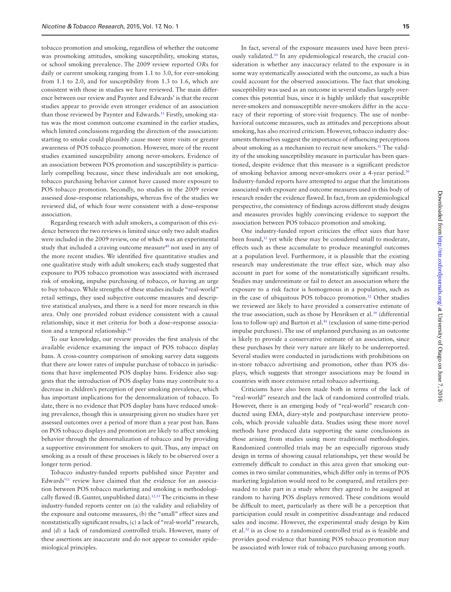tobacco promotion and smoking, regardless of whether the outcome was prosmoking attitudes, smoking susceptibility, smoking status, or school smoking prevalence. The 2009 review reported *OR*s for daily or current smoking ranging from 1.1 to 3.0, for ever-smoking from 1.1 to 2.0, and for susceptibility from 1.3 to 1.6, which are consistent with those in studies we have reviewed. The main difference between our review and Paynter and Edwards' is that the recent studies appear to provide even stronger evidence of an association than those reviewed by Paynter and Edwards.<sup>11</sup> Firstly, smoking status was the most common outcome examined in the earlier studies, which limited conclusions regarding the direction of the association: starting to smoke could plausibly cause more store visits or greater awareness of POS tobacco promotion. However, more of the recent studies examined susceptibility among never-smokers. Evidence of an association between POS promotion and susceptibility is particularly compelling because, since these individuals are not smoking, tobacco purchasing behavior cannot have caused more exposure to POS tobacco promotion. Secondly, no studies in the 2009 review assessed dose–response relationships, whereas five of the studies we reviewed did, of which four were consistent with a dose–response association.

Regarding research with adult smokers, a comparison of this evidence between the two reviews is limited since only two adult studies were included in the 2009 review, one of which was an experimental study that included a craving outcome measure<sup>49</sup> not used in any of the more recent studies. We identified five quantitative studies and one qualitative study with adult smokers; each study suggested that exposure to POS tobacco promotion was associated with increased risk of smoking, impulse purchasing of tobacco, or having an urge to buy tobacco. While strengths of these studies include "real-world" retail settings, they used subjective outcome measures and descriptive statistical analyses, and there is a need for more research in this area. Only one provided robust evidence consistent with a causal relationship, since it met criteria for both a dose–response association and a temporal relationship[.43](#page-15-19)

To our knowledge, our review provides the first analysis of the available evidence examining the impact of POS tobacco display bans. A cross-country comparison of smoking survey data suggests that there are lower rates of impulse purchase of tobacco in jurisdictions that have implemented POS display bans. Evidence also suggests that the introduction of POS display bans may contribute to a decrease in children's perception of peer smoking prevalence, which has important implications for the denormalization of tobacco. To date, there is no evidence that POS display bans have reduced smoking prevalence, though this is unsurprising given no studies have yet assessed outcomes over a period of more than a year post ban. Bans on POS tobacco displays and promotion are likely to affect smoking behavior through the denormalization of tobacco and by providing a supportive environment for smokers to quit. Thus, any impact on smoking as a result of these processes is likely to be observed over a longer term period.

Tobacco industry-funded reports published since Paynter and Edwards['11](#page-14-10) review have claimed that the evidence for an association between POS tobacco marketing and smoking is methodologi-cally flawed (B. Gunter, unpublished data).<sup>[12](#page-14-11),13</sup> The criticisms in these industry-funded reports center on (a) the validity and reliability of the exposure and outcome measures, (b) the "small" effect sizes and nonstatistically significant results, (c) a lack of "real-world" research, and (d) a lack of randomized controlled trials. However, many of these assertions are inaccurate and do not appear to consider epidemiological principles.

In fact, several of the exposure measures used have been previously validated.[50](#page-15-26) In any epidemiological research, the crucial consideration is whether any inaccuracy related to the exposure is in some way systematically associated with the outcome, as such a bias could account for the observed associations. The fact that smoking susceptibility was used as an outcome in several studies largely overcomes this potential bias, since it is highly unlikely that susceptible never-smokers and nonsusceptible never-smokers differ in the accuracy of their reporting of store-visit frequency. The use of nonbehavioral outcome measures, such as attitudes and perceptions about smoking, has also received criticism. However, tobacco industry documents themselves suggest the importance of influencing perceptions about smoking as a mechanism to recruit new smokers.<sup>51</sup> The validity of the smoking susceptibility measure in particular has been questioned, despite evidence that this measure is a significant predictor of smoking behavior among never-smokers over a 4-year period.<sup>36</sup> Industry-funded reports have attempted to argue that the limitations associated with exposure and outcome measures used in this body of research render the evidence flawed. In fact, from an epidemiological perspective, the consistency of findings across different study designs and measures provides highly convincing evidence to support the association between POS tobacco promotion and smoking.

One industry-funded report criticizes the effect sizes that have been found,<sup>12</sup> yet while these may be considered small to moderate, effects such as these accumulate to produce meaningful outcomes at a population level. Furthermore, it is plausible that the existing research may underestimate the true effect size, which may also account in part for some of the nonstatistically significant results. Studies may underestimate or fail to detect an association where the exposure to a risk factor is homogenous in a population, such as in the case of ubiquitous POS tobacco promotion.<sup>52</sup> Other studies we reviewed are likely to have provided a conservative estimate of the true association, such as those by Henriksen et al.<sup>39</sup> (differential loss to follow-up) and Burton et al.<sup>41</sup> (exclusion of same-time-period impulse purchases). The use of unplanned purchasing as an outcome is likely to provide a conservative estimate of an association, since these purchases by their very nature are likely to be underreported. Several studies were conducted in jurisdictions with prohibitions on in-store tobacco advertising and promotion, other than POS displays, which suggests that stronger associations may be found in countries with more extensive retail tobacco advertising.

Criticisms have also been made both in terms of the lack of "real-world" research and the lack of randomized controlled trials. However, there is an emerging body of "real-world" research conducted using EMA, diary-style and postpurchase interview protocols, which provide valuable data. Studies using these more novel methods have produced data supporting the same conclusions as those arising from studies using more traditional methodologies. Randomized controlled trials may be an especially rigorous study design in terms of showing causal relationships, yet these would be extremely difficult to conduct in this area given that smoking outcomes in two similar communities, which differ only in terms of POS marketing legislation would need to be compared, and retailers persuaded to take part in a study where they agreed to be assigned at random to having POS displays removed. These conditions would be difficult to meet, particularly as there will be a perception that participation could result in competitive disadvantage and reduced sales and income. However, the experimental study design by Kim et al.[32](#page-15-12) is as close to a randomized controlled trial as is feasible and provides good evidence that banning POS tobacco promotion may be associated with lower risk of tobacco purchasing among youth.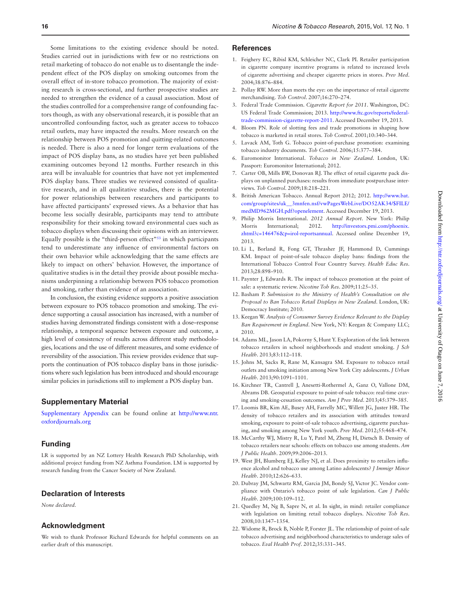Some limitations to the existing evidence should be noted. Studies carried out in jurisdictions with few or no restrictions on retail marketing of tobacco do not enable us to disentangle the independent effect of the POS display on smoking outcomes from the overall effect of in-store tobacco promotion. The majority of existing research is cross-sectional, and further prospective studies are needed to strengthen the evidence of a causal association. Most of the studies controlled for a comprehensive range of confounding factors though, as with any observational research, it is possible that an uncontrolled confounding factor, such as greater access to tobacco retail outlets, may have impacted the results. More research on the relationship between POS promotion and quitting-related outcomes is needed. There is also a need for longer term evaluations of the impact of POS display bans, as no studies have yet been published examining outcomes beyond 12 months. Further research in this area will be invaluable for countries that have not yet implemented POS display bans. Three studies we reviewed consisted of qualitative research, and in all qualitative studies, there is the potential for power relationships between researchers and participants to have affected participants' expressed views. As a behavior that has become less socially desirable, participants may tend to attribute responsibility for their smoking toward environmental cues such as tobacco displays when discussing their opinions with an interviewer. Equally possible is the "third-person effect"<sup>53</sup> in which participants tend to underestimate any influence of environmental factors on their own behavior while acknowledging that the same effects are likely to impact on others' behavior. However, the importance of qualitative studies is in the detail they provide about possible mechanisms underpinning a relationship between POS tobacco promotion and smoking, rather than evidence of an association.

In conclusion, the existing evidence supports a positive association between exposure to POS tobacco promotion and smoking. The evidence supporting a causal association has increased, with a number of studies having demonstrated findings consistent with a dose–response relationship, a temporal sequence between exposure and outcome, a high level of consistency of results across different study methodologies, locations and the use of different measures, and some evidence of reversibility of the association. This review provides evidence that supports the continuation of POS tobacco display bans in those jurisdictions where such legislation has been introduced and should encourage similar policies in jurisdictions still to implement a POS display ban.

## **Supplementary Material**

[Supplementary Appendix](http://ntr.oxfordjournals.org/lookup/suppl/doi:10.1093/ntr/ntu168/-/DC1) can be found online at [http://www.ntr.](http://ntr.oxfordjournals.org/lookup/suppl/doi:10.1093/ntr/ntu168/-/DC1) [oxfordjournals.org](http://ntr.oxfordjournals.org/lookup/suppl/doi:10.1093/ntr/ntu168/-/DC1)

## **Funding**

LR is supported by an NZ Lottery Health Research PhD Scholarship, with additional project funding from NZ Asthma Foundation. LM is supported by research funding from the Cancer Society of New Zealand.

# **Declaration of Interests**

*None declared.*

# **Acknowledgment**

We wish to thank Professor Richard Edwards for helpful comments on an earlier draft of this manuscript.

## **References**

- <span id="page-14-0"></span>1. Feighery EC, Ribisl KM, Schleicher NC, Clark PI. Retailer participation in cigarette company incentive programs is related to increased levels of cigarette advertising and cheaper cigarette prices in stores. *Prev Med*. 2004;38:876–884.
- <span id="page-14-1"></span>2. Pollay RW. More than meets the eye: on the importance of retail cigarette merchandising. *Tob Control*. 2007;16:270–274.
- <span id="page-14-2"></span>3. Federal Trade Commission. *Cigarette Report for 2011*. Washington, DC: US Federal Trade Commission; 2013. [http://www.ftc.gov/reports/federal](http://www.ftc.gov/reports/federal-trade-commission-cigarette-report-2011)[trade-commission-cigarette-report-2011](http://www.ftc.gov/reports/federal-trade-commission-cigarette-report-2011). Accessed December 19, 2013.
- <span id="page-14-3"></span>4. Bloom PN. Role of slotting fees and trade promotions in shaping how tobacco is marketed in retail stores. *Tob Control*. 2001;10:340–344.
- <span id="page-14-4"></span>5. Lavack AM, Toth G. Tobacco point-of-purchase promotion: examining tobacco industry documents. *Tob Control*. 2006;15:377–384.
- <span id="page-14-5"></span>6. Euromonitor International. *Tobacco in New Zealand*. London, UK: Passport: Euromonitor International; 2012.
- <span id="page-14-6"></span>7. Carter OB, Mills BW, Donovan RJ. The effect of retail cigarette pack displays on unplanned purchases: results from immediate postpurchase interviews. *Tob Control*. 2009;18:218–221.
- <span id="page-14-7"></span>8. British American Tobacco. Annual Report 2012; 2012. [http://www.bat.](http://www.bat.com/group/sites/uk__3mnfen.nsf/vwPagesWebLive/DO52AK34/$FILE/medMD962MGH.pdf?openelement) [com/group/sites/uk\\_\\_3mnfen.nsf/vwPagesWebLive/DO52AK34/\\$FILE/](http://www.bat.com/group/sites/uk__3mnfen.nsf/vwPagesWebLive/DO52AK34/$FILE/medMD962MGH.pdf?openelement) [medMD962MGH.pdf?openelement](http://www.bat.com/group/sites/uk__3mnfen.nsf/vwPagesWebLive/DO52AK34/$FILE/medMD962MGH.pdf?openelement). Accessed December 19, 2013.
- <span id="page-14-8"></span>9. Philip Morris International. *2012 Annual Report*. New York: Philip Morris International; 2012. [http://investors.pmi.com/phoenix.](http://investors.pmi.com/phoenix.zhtml?c=146476&p=irol-reportsannual) [zhtml?c=146476&p=irol-reportsannual](http://investors.pmi.com/phoenix.zhtml?c=146476&p=irol-reportsannual). Accessed online December 19, 2013.
- <span id="page-14-9"></span>10. Li L, Borland R, Fong GT, Thrasher JF, Hammond D, Cummings KM. Impact of point-of-sale tobacco display bans: findings from the International Tobacco Control Four Country Survey. *Health Educ Res*. 2013;28:898–910.
- <span id="page-14-10"></span>11. Paynter J, Edwards R. The impact of tobacco promotion at the point of sale: a systematic review. *Nicotine Tob Res*. 2009;11:25–35.
- <span id="page-14-11"></span>12. Basham P. *Submission to the Ministry of Health's Consultation on the Proposal to Ban Tobacco Retail Displays in New Zealand*. London, UK: Democracy Institute; 2010.
- <span id="page-14-12"></span>13. Keegan W. *Analysis of Consumer Survey Evidence Relevant to the Display Ban Requirement in England*. New York, NY: Keegan & Company LLC; 2010.
- <span id="page-14-13"></span>14. Adams ML, Jason LA, Pokorny S, Hunt Y. Exploration of the link between tobacco retailers in school neighborhoods and student smoking. *J Sch Health*. 2013;83:112–118.
- 15. Johns M, Sacks R, Rane M, Kansagra SM. Exposure to tobacco retail outlets and smoking initiation among New York City adolescents. *J Urban Health*. 2013;90:1091–1101.
- 16. Kirchner TR, Cantrell J, Anesetti-Rothermel A, Ganz O, Vallone DM, Abrams DB. Geospatial exposure to point-of-sale tobacco: real-time craving and smoking-cessation outcomes. *Am J Prev Med*. 2013;45:379–385.
- 17. Loomis BR, Kim AE, Busey AH, Farrelly MC, Willett JG, Juster HR. The density of tobacco retailers and its association with attitudes toward smoking, exposure to point-of-sale tobacco advertising, cigarette purchasing, and smoking among New York youth. *Prev Med*. 2012;55:468–474.
- 18. McCarthy WJ, Mistry R, Lu Y, Patel M, Zheng H, Dietsch B. Density of tobacco retailers near schools: effects on tobacco use among students. *Am J Public Health*. 2009;99:2006–2013.
- 19. West JH, Blumberg EJ, Kelley NJ, et al. Does proximity to retailers influence alcohol and tobacco use among Latino adolescents? *J Immigr Minor Health*. 2010;12:626–633.
- <span id="page-14-14"></span>20. Dubray JM, Schwartz RM, Garcia JM, Bondy SJ, Victor JC. Vendor compliance with Ontario's tobacco point of sale legislation. *Can J Public Health*. 2009;100:109–112.
- 21. Quedley M, Ng B, Sapre N, et al. In sight, in mind: retailer compliance with legislation on limiting retail tobacco displays. *Nicotine Tob Res*. 2008;10:1347–1354.
- 22. Widome R, Brock B, Noble P, Forster JL. The relationship of point-of-sale tobacco advertising and neighborhood characteristics to underage sales of tobacco. *Eval Health Prof*. 2012;35:331–345.